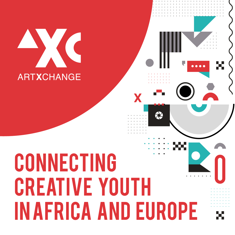# CONNECTING **CREATIVE YOUTH INAFRICA AND EUROPE**

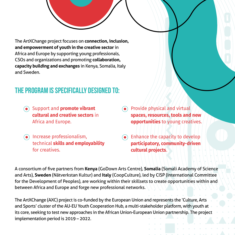The ArtXChange project focuses on **connection, inclusion, and empowerment of youth in the creative sector** in Africa and Europe by supporting young professionals, CSOs and organizations and promoting **collaboration, capacity building and exchanges** in Kenya, Somalia, Italy and Sweden.

### The program is specifically designed to:

- Support and **promote vibrant cultural and creative sectors** in Africa and Europe.
- Increase professionalism, technical **skills and employability** for creatives.
- Provide physical and virtual **spaces, resources, tools and new opportunities** to young creatives.
- Enhance the capacity to develop **participatory, community-driven cultural projects**.

A consortium of five partners from **Kenya** (GoDown Arts Centre), **Somalia** (Somali Academy of Science and Arts), **Sweden** (Nätverkstan Kultur) and **Italy** (CoopCulture), led by CISP (International Committee for the Development of Peoples), are working within their skillsets to create opportunities within and between Africa and Europe and forge new professional networks.

The ArtXChange (AXC) project is co-funded by the European Union and represents the 'Culture, Arts and Sports' cluster of the AU-EU Youth Cooperation Hub, a multi-stakeholder platform, with youth at its core, seeking to test new approaches in the African Union-European Union partnership. The project implementation period is 2019 – 2022.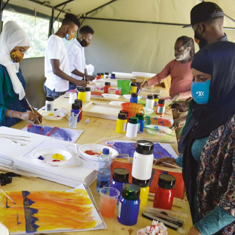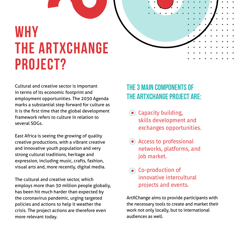## WHY THE ARTXCHANGE PROJECT?

Cultural and creative sector is important in terms of its economic footprint and employment opportunities. The 2030 Agenda marks a substantial step forward for culture as it is the first time that the global development framework refers to culture in relation to several SDGs.

East Africa is seeing the growing of quality creative productions, with a vibrant creative and innovative youth population and very strong cultural traditions, heritage and expression, including music, crafts, fashion, visual arts and, more recently, digital media.

The cultural and creative sector, which employs more than 30 million people globally, has been hit much harder than expected by the coronavirus pandemic, urging targeted policies and actions to help it weather the crisis. The project actions are therefore even more relevant today.

### THE 3 MAIN COMPONENTS of the ArtXChange project are:

- **⊙** Capacity building, skills development and exchanges opportunities.
- Access to professional networks, platforms, and job market.
- Co-production of  $\odot$ innovative intercultural projects and events.

ArtXChange aims to provide participants with the necessary tools to create and market their work not only locally, but to international audiences as well.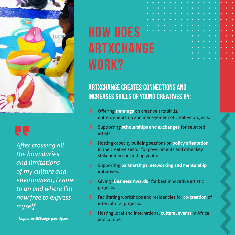

ee

*After crossing all the boundaries and limitations of my culture and environment, I came to an end where I'm now free to express myself.*

**--***Najma***, ArtXChange participant.**

## HOW DOES ARTXCHANGE WORK?

### ArtXChange creates connections and increases skills of young creatives by:

- ~ Offering **trainings** on creative arts skills, entrepreneurship and management of creative projects.
- ~ Supporting **scholarships and exchanges** for selected artists.
- ~ Hosting capacity building sessions on **policy orientation**  in the creative sector for governments and other key stakeholders, including youth.
- ~ Supporting **partnerships, networking and mentorship** initiatives.
- ~ Giving "**Business Awards**" for best innovative artistic projects.
- ~ Facilitating workshops and residencies for **co-creation** of intercultural projects.
- ~ Hosting local and international **cultural events** in Africa and Europe.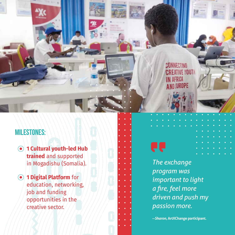#### Milestones:

- **1 Cultural youth-led Hub trained** and supported in Mogadishu (Somalia).
- **1 Digital Platform** for education, networking, job and funding opportunities in the creative sector.

*The exchange program was important to light a fire, feel more driven and push my passion more.*

ee

CONNECTING **CREATIVE YOUTH** 

**IN AFRICA A ND FUROPE** 

**--***Sharon***, ArtXChange participant.**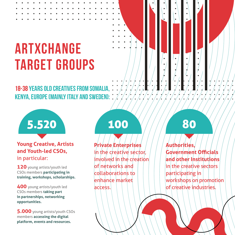### ARTXCHANGE TARGET GROUPS

18-38 years old creatives from Somalia, Kenya, Europe (mainly Italy and Sweden):

# 5.520

#### **Young Creative, Artists and Youth-led CSOs,** in particular:

**120** young artists/youth led CSOs members **participating in training, workshops, scholarships.** 

**400** young artists/youth led CSOs members **taking part in partnerships, networking opportunities.**

**5.000** young artists/youth CSOs members **accessing the digital platform, events and resources.** 

### 100

**Private Enterprises**  in the creative sector, involved in the creation of networks and collaborations to enhance market access.

### 80

**Authorities, Government Officials and other Institutions**  in the creative sectors participating in workshops on promotion of creative industries.